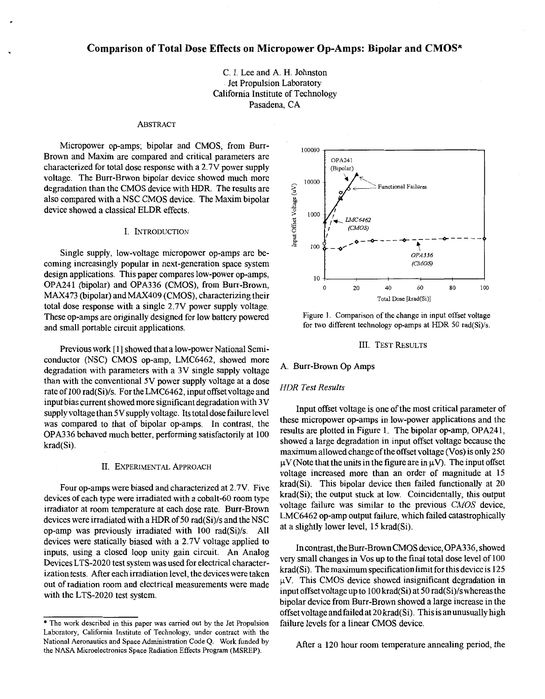# **Comparison of Total Dose Effects on Micropower Op-Amps: Bipolar and CMOS\***

C. I. Lee and A. H. Johnston Jet Propulsion Laboratory California Institute of Technology Pasadena, CA

#### ABSTRACT

Micropower op-amps; bipolar and CMOS, from Burr-Brown and Maxim are compared and critical parameters are characterized for total dose response with a 2.7V power supply voltage. The Burr-Brwon bipolar device showed much more degradation than the CMOS device with HDR. The results are also compared with a NSC CMOS device. The Maxim bipolar device showed a classical ELDR effects.

## I. INTRODUCTION

Single supply, low-voltage micropower op-amps are becoming increasingly popular in next-generation space system design applications. This paper compares low-power op-amps, OPA241 (bipolar) and OPA336 (CMOS), from Burr-Brown, MAX473 (bipolar) and MAX409 (CMOS), characterizing their total dose response with a single 2.7V power supply voltage. These op-amps are originally designed for low battery powered and small portable circuit applications.

Previous work [1] showed that a low-power National Semiconductor (NSC) CMOS op-amp, LMC6462, showed more degradation with parameters with a 3V single supply voltage than with the conventional 5V power supply voltage at a dose rate of 100 rad(Si)/s. For the LMC6462, input offset voltage and input bias current showed more significant degradation with 3V supply voltage than 5V supply voltage. Its total dose failure level was compared to that of bipolar op-amps. In contrast, the OPA336 behaved much better, performing satisfactorily at 100 krad(Si).

#### II. EXPERIMENTAL APPROACH

Four op-amps were biased and characterized at 2.7V. Five devices of each type were irradiated with a cobalt-60 room type irradiator at room temperature at each dose rate. Burr-Brown devices were irradiated with a HDR of 50 rad(Si)/s and the NSC op-amp was previously irradiated with 100 rad(Si)/s. All devices were statically biased with a 2.7V voltage applied to inputs, using a closed loop unity gain circuit. **An** Analog Devices LTS-2020 test system was used for electrical characterization tests. After each irradiation level, the devices were taken out of radiation room and electrical measurements were made with the LTS-2020 test system.



Figure **1.** Comparison of the change in input offset voltage for two different technology op-amps at HDR 50 rad(Si)/s.

#### 111. TEST RESULTS

#### A. Burr-Brown *Op* Amps

## *HDR Test Results*

Input offset voltage is one of the most critical parameter of these micropower op-amps in low-power applications and the results are plotted in Figure 1. The bipolar op-amp, OPA241, showed a large degradation in input offset voltage because the maximum allowed change of the offset voltage (Vos) is only 250  $\mu$ V (Note that the units in the figure are in  $\mu$ V). The input offset voltage increased more than an order of magnitude at **15**  krad(Si). This bipolar device then failed functionally at 20 krad(Si); the output stuck at low. Coincidentally, this output voltage failure was similar to the previous *CMOS* device, LMC6462 op-amp output failure, which failed catastrophically at a slightly lower level, 15 krad(Si).

In contrast, the Burr-Brown CMOS device, OPA336, showed very small changes in Vos up to the final total dose level of 100 krad(Si). The maximum specification limit for this device is  $125$  $\mu$ V. This CMOS device showed insignificant degradation in input offset voltage up to 100 krad(Si) at 50 rad(Si)/s whereas the bipolar device from Burr-Brown showed a large increase in the offset voltage and failed at 20 krad(Si). This is an unusually high failure levels for a linear CMOS device.

After a 120 hour room temperature annealing period, the

<sup>\*</sup> The work described in this paper was carried out by the Jet Propulsion Laboratory, California Institute of Technology, under contract with the National Aeronautics and Space Administration Code Q. **Work** funded **by**  the NASA Microelectronics Space Radiation Effects Program (MSREP).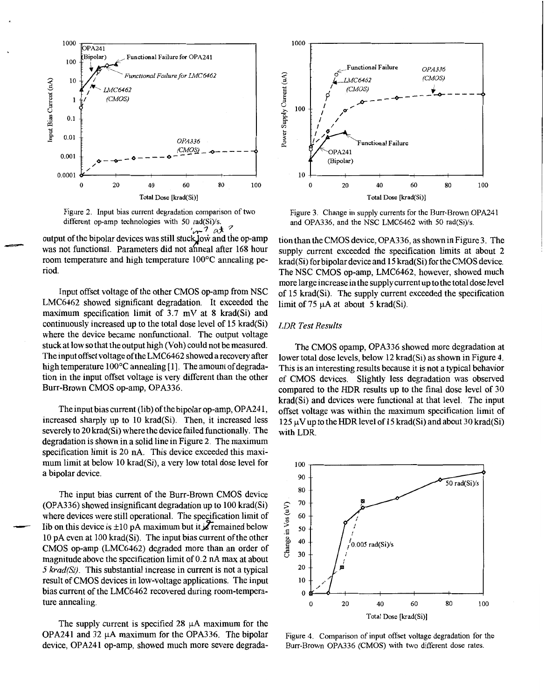<span id="page-1-0"></span>

Figure 2. Input bias current degradation comparison of two different op-amp technologies with 50 rad(Si)/s.<br> $4\pi^7$  at 3

output of the bipolar devices was still stuck low and the op-amp was not functional. Parameters did not anneal after 168 hour room temperature and high temperature 100°C annealing period.

=sss"=

Input offset voltage of the other CMOS op-amp from NSC LMC6462 showed significant degradation. It exceeded the maximum specification limit of 3.7 mV at 8 krad(Si) and continuously increased up to the total dose level of 15 krad(Si) where the device became nonfunctional. The output voltage stuck at low so that the output high (Voh) could not be measured. The input offset voltage ofthe LMC6462 showed arecovery after high temperature 100°C annealing [1]. The amount of degradation in the input offset voltage is very different than the other Burr-Brown CMOS op-amp, OPA336.

The input bias current (Iib) of the bipolar op-amp, OPA24 1, increased sharply up to 10 krad(Si). Then, it increased less severely to 20 krad(Si) where the device failed functionally. The [degradation is shown in a solid line in Figure 2](#page-2-0). The maximum specification limit is 20 nA. This device exceeded this maximum limit at below 10 krad(Si), a very low total dose level for a bipolar device.

The input bias current of the Burr-Brown CMOS device (OPA336) showed insignificant degradation up to 100 krad(Si) where devices were still operational. The specification limit of Iib on this device is  $\pm 10$  pA maximum but it **is** remained below 10 **pA** even at 100 krad(Si). The input bias current of the other CMOS op-amp (LMC6462) degraded more than an order of magnitude above the specification limit of 0.2 nA max at about *5 krad(Si)*. This substantial increase in current is not a typical result of CMOS devices in low-voltage applications. The input bias current of the LMC6462 recovered during room-temperature annealing.

The supply current is specified  $28 \mu A$  maximum for the OPA241 and 32  $\mu$ A maximum for the OPA336. The bipolar device, OPA241 op-amp, showed much more severe degrada-



Figure **3.** Change in supply currents for the Burr-Brown OPA241 and OPA336, and the NSC LMC6462 with 50 rad(Si)/s.

[tion than the CMOS device, OPA336, asshown in Figure 3](#page-3-0). The [supply current exceeded the specification limits at about 2](#page-2-0)  krad(Si) forbipolar device and 15 krad(Si) for the CMOS device. The NSC CMOS op-amp, LMC6462, however, showed much more large increase in the supply current up to the total dose level of 15 krad(Si). The supply current exceeded the specification limit of 75  $\mu$ A at about 5 krad(Si).

### *LDR Test Results*

The CMOS opamp, OPA336 showed more degradation at lower total dose levels, below 12 krad(Si) as shown in Figure 4. This is an interesting results because it is not a typical behavior of CMOS devices. Slightly less degradation was observed compared to the HDR results up to the final dose level of 30 krad(Si) and devices were functional at that level. The input offset voltage was within the maximum specification limit of  $125 \mu V$  up to the HDR level of 15 krad(Si) and about 30 krad(Si) with LDR.



Figure 4. Comparison of input offset voltage degradation for the Burr-Brown OPA336 (CMOS) with two different dose rates.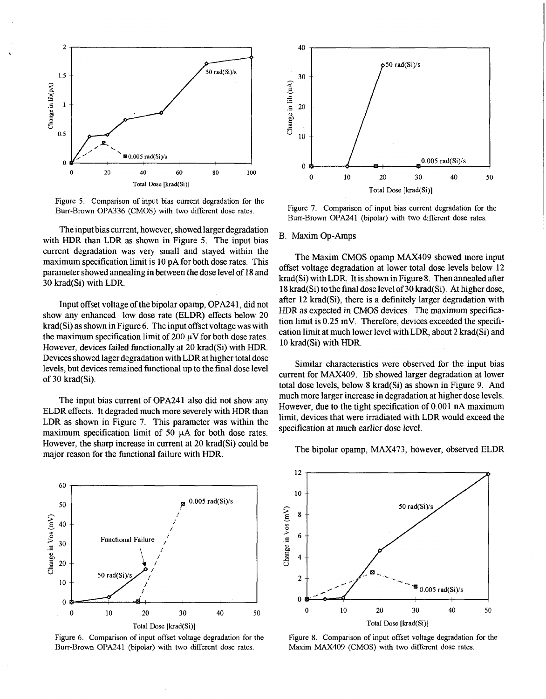<span id="page-2-0"></span>

Figure *5.* Comparison of input bias current degradation for the Burr-Brown OPA336 (CMOS) with two different dose rates.

The input bias current, however, showed larger degradation with HDR than LDR as shown in Figure **5.** The input bias current degradation was very small and stayed within the maximum specification limit is 10 pA for both dose rates. This parameter showed annealing in between the dose level of 18 and 30 krad(Si) with LDR.

Input offset voltage of the bipolar opamp, OPA24 1, did not show any enhanced low dose rate (ELDR) effects below 20 krad(Si) as shown in Figure **6.** The input offset voltage was with the maximum specification limit of 200  $\mu$ V for both dose rates. However, devices failed functionally at 20 krad(Si) with HDR. Devices showed lager degradation with LDR at higher total dose levels, but devices remained functional up to the final dose level of 30 krad(Si).

The input bias current of OPA241 also did not show any ELDR effects. It degraded much more severely with HDR than LDR as shown in Figure 7. This parameter was within the maximum specification limit of 50  $\mu$ A for both dose rates. However, the sharp increase in current at 20 krad(Si) could be major reason for the functional failure with HDR.



Figure 6. Comparison of input offset voltage degradation for the Burr-Brown OPA241 (bipolar) with two different dose rates.



Figure **7.** Comparison of input bias current degradation for the Burr-Brown OPA241 (bipolar) with two different dose rates.

## B. Maxim Op-Amps

The Maxim CMOS opamp MAX409 showed more input offset voltage degradation at lower total dose levels below 12 krad(Si) with LDR. It is shown in Figure **8.** Then annealed after 18 krad(Si) to the final dose level of 30 krad(Si). At higher dose, after 12 krad(Si), there is a definitely larger degradation with HDR as expected in CMOS devices. The maximum specification limit is 0.25 mV. Therefore, devices exceeded the specification limit at much lower level with LDR, about 2 krad(Si) and 10 krad(Si) with HDR.

Similar characteristics were observed for the input bias current for MAX409. Iib showed larger degradation at lower total dose levels, below **8** krad(Si) as shown in Figure 9. And much more larger increase in degradation at higher dose levels. However, due to the tight specification of 0.001 nA maximum limit, devices that were irradiated with LDR would exceed the specification at much earlier dose level.

The bipolar opamp, MAX473, however, observed ELDR



Figure **8.** Comparison of input offset voltage degradation for the Maxim MAX409 (CMOS) with two different dose rates.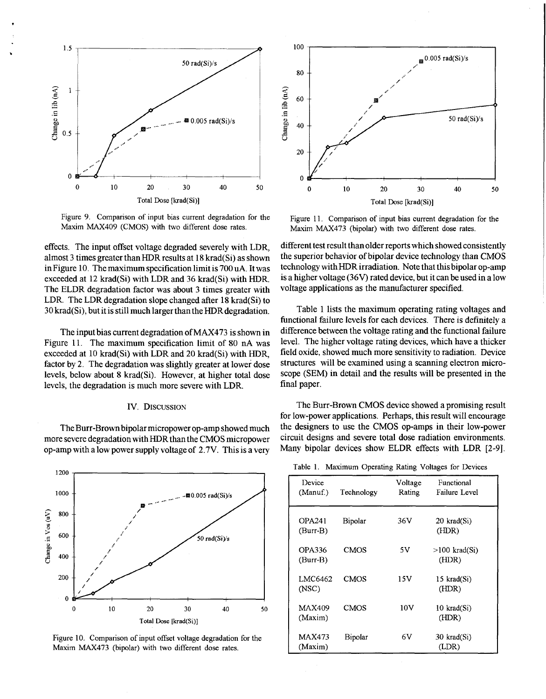

<span id="page-3-0"></span>.

Figure 9. Comparison of input bias current degradation for the Maxim MAX409 (CMOS) with two different dose rates.

effects. The input offset voltage degraded severely with LDR, almost **3** times greater than HDR results at 18 krad(Si) as shown inFigure 10. The maximum specification limit is 700 **uA.** It was exceeded at 12 krad(Si) with LDR and **36** krad(Si) with HDR. The ELDR degradation factor was about **3** times greater with LDR. The LDR degradation slope changed after 18 krad(Si) to 30 krad(Si), but it is still much larger than the HDR degradation.

The input bias current degradation of MAX473 is shown in Figure 11. The maximum specification limit of 80 nA was exceeded at 10 krad(Si) with LDR and 20 krad(Si) with HDR, factor by 2. The degradation was slightly greater at lower dose levels, below about 8 krad(Si). However, at higher total dose levels, the degradation is much more severe with LDR.

### 1V. DISCUSSION

The Burr-Brown bipolar micropower op-amp showed much more severe degradation with HDR than the CMOS micropower op-amp with a low power supply voltage of **2.7V.** This is a very







Figure 11. Comparison of input bias current degradation for the Maxim MAX473 (bipolar) with two different dose rates.

different test result thanolder reports which showed consistently the superior behavior of bipolar device technology than CMOS technology with HDR irradiation. Note that this bipolar op-amp is a higher voltage **(36V)** rated device, but it can be used in a low voltage applications as the manufacturer specified.

Table 1 lists the maximum operating rating voltages and functional failure levels for each devices. There is definitely a difference between the voltage rating and the functional failure level. The higher voltage rating devices, which have a thicker field oxide, showed much more sensitivity to radiation. Device structures will be examined using a scanning electron microscope (SEM) in detail and the results will be presented in the final paper.

The Burr-Brown CMOS device showed a promising result for low-power applications. Perhaps, this result will encourage the designers to use the CMOS op-amps in their low-power circuit designs and severe total dose radiation environments. Many bipolar devices show ELDR effects with LDR **[2-91.** 

| Device<br>(Manuf.)          | Technology  | Voltage<br>Rating | Functional<br>Failure Level  |
|-----------------------------|-------------|-------------------|------------------------------|
| <b>OPA241</b><br>$(Burr-B)$ | Bipolar     | 36V               | $20$ krad $(Si)$<br>(HDR)    |
| OPA336<br>(Burr-B)          | <b>CMOS</b> | 5V                | $>100$ krad $(S_i)$<br>(HDR) |
| LMC6462<br>(NSC)            | <b>CMOS</b> | 15V               | 15 krad(Si)<br>(HDR)         |
| <b>MAX409</b><br>(Maxim)    | <b>CMOS</b> | 10V               | 10 krad(Si)<br>(HDR)         |
| <b>MAX473</b><br>(Maxim)    | Bipolar     | 6V                | $30$ krad $(Si)$<br>(LDR)    |

Table **1.** Maximum Operating Rating Voltages for Devices